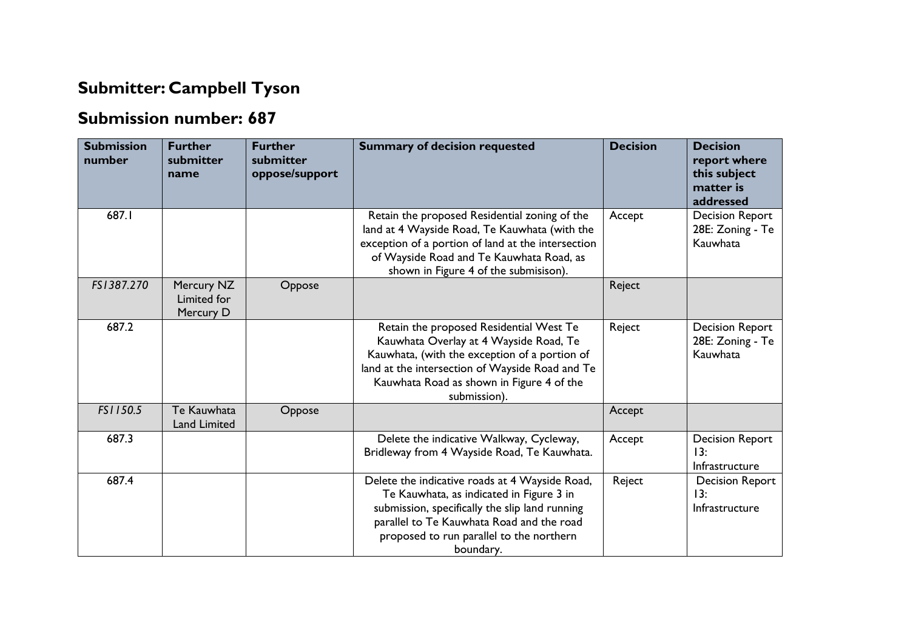## **Submitter: Campbell Tyson**

## **Submission number: 687**

| <b>Submission</b><br>number | <b>Further</b><br>submitter<br>name    | <b>Further</b><br>submitter<br>oppose/support | <b>Summary of decision requested</b>                                                                                                                                                                                                               | <b>Decision</b> | <b>Decision</b><br>report where<br>this subject<br>matter is<br>addressed |
|-----------------------------|----------------------------------------|-----------------------------------------------|----------------------------------------------------------------------------------------------------------------------------------------------------------------------------------------------------------------------------------------------------|-----------------|---------------------------------------------------------------------------|
| 687.I                       |                                        |                                               | Retain the proposed Residential zoning of the<br>land at 4 Wayside Road, Te Kauwhata (with the<br>exception of a portion of land at the intersection<br>of Wayside Road and Te Kauwhata Road, as<br>shown in Figure 4 of the submisison).          | Accept          | <b>Decision Report</b><br>28E: Zoning - Te<br>Kauwhata                    |
| FS1387.270                  | Mercury NZ<br>Limited for<br>Mercury D | Oppose                                        |                                                                                                                                                                                                                                                    | Reject          |                                                                           |
| 687.2                       |                                        |                                               | Retain the proposed Residential West Te<br>Kauwhata Overlay at 4 Wayside Road, Te<br>Kauwhata, (with the exception of a portion of<br>land at the intersection of Wayside Road and Te<br>Kauwhata Road as shown in Figure 4 of the<br>submission). | Reject          | <b>Decision Report</b><br>28E: Zoning - Te<br>Kauwhata                    |
| FS1150.5                    | Te Kauwhata<br><b>Land Limited</b>     | Oppose                                        |                                                                                                                                                                                                                                                    | Accept          |                                                                           |
| 687.3                       |                                        |                                               | Delete the indicative Walkway, Cycleway,<br>Bridleway from 4 Wayside Road, Te Kauwhata.                                                                                                                                                            | Accept          | <b>Decision Report</b><br>13:<br>Infrastructure                           |
| 687.4                       |                                        |                                               | Delete the indicative roads at 4 Wayside Road,<br>Te Kauwhata, as indicated in Figure 3 in<br>submission, specifically the slip land running<br>parallel to Te Kauwhata Road and the road<br>proposed to run parallel to the northern<br>boundary. | Reject          | <b>Decision Report</b><br>13:<br>Infrastructure                           |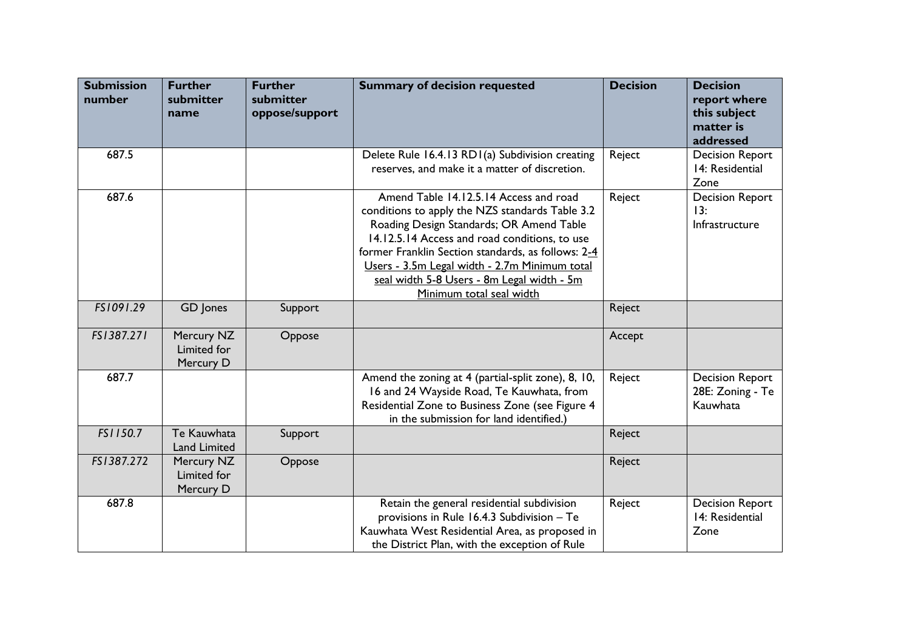| <b>Submission</b><br>number | <b>Further</b><br>submitter<br>name    | <b>Further</b><br>submitter<br>oppose/support | <b>Summary of decision requested</b>                                                                                                                                                                                                                                                                                                                                    | <b>Decision</b> | <b>Decision</b><br>report where<br>this subject<br>matter is<br>addressed |
|-----------------------------|----------------------------------------|-----------------------------------------------|-------------------------------------------------------------------------------------------------------------------------------------------------------------------------------------------------------------------------------------------------------------------------------------------------------------------------------------------------------------------------|-----------------|---------------------------------------------------------------------------|
| 687.5                       |                                        |                                               | Delete Rule 16.4.13 RD1(a) Subdivision creating<br>reserves, and make it a matter of discretion.                                                                                                                                                                                                                                                                        | Reject          | <b>Decision Report</b><br>14: Residential<br>Zone                         |
| 687.6                       |                                        |                                               | Amend Table 14.12.5.14 Access and road<br>conditions to apply the NZS standards Table 3.2<br>Roading Design Standards; OR Amend Table<br>14.12.5.14 Access and road conditions, to use<br>former Franklin Section standards, as follows: 2-4<br>Users - 3.5m Legal width - 2.7m Minimum total<br>seal width 5-8 Users - 8m Legal width - 5m<br>Minimum total seal width | Reject          | <b>Decision Report</b><br>13:<br>Infrastructure                           |
| FS1091.29                   | GD Jones                               | Support                                       |                                                                                                                                                                                                                                                                                                                                                                         | Reject          |                                                                           |
| FS1387.271                  | Mercury NZ<br>Limited for<br>Mercury D | Oppose                                        |                                                                                                                                                                                                                                                                                                                                                                         | Accept          |                                                                           |
| 687.7                       |                                        |                                               | Amend the zoning at 4 (partial-split zone), 8, 10,<br>16 and 24 Wayside Road, Te Kauwhata, from<br>Residential Zone to Business Zone (see Figure 4<br>in the submission for land identified.)                                                                                                                                                                           | Reject          | <b>Decision Report</b><br>28E: Zoning - Te<br>Kauwhata                    |
| FS1150.7                    | Te Kauwhata<br><b>Land Limited</b>     | Support                                       |                                                                                                                                                                                                                                                                                                                                                                         | Reject          |                                                                           |
| FS1387.272                  | Mercury NZ<br>Limited for<br>Mercury D | Oppose                                        |                                                                                                                                                                                                                                                                                                                                                                         | Reject          |                                                                           |
| 687.8                       |                                        |                                               | Retain the general residential subdivision<br>provisions in Rule 16.4.3 Subdivision - Te<br>Kauwhata West Residential Area, as proposed in<br>the District Plan, with the exception of Rule                                                                                                                                                                             | Reject          | <b>Decision Report</b><br>14: Residential<br>Zone                         |